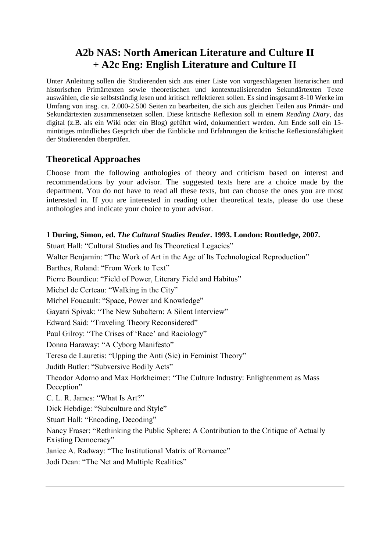# **A2b NAS: North American Literature and Culture II + A2c Eng: English Literature and Culture II**

Unter Anleitung sollen die Studierenden sich aus einer Liste von vorgeschlagenen literarischen und historischen Primärtexten sowie theoretischen und kontextualisierenden Sekundärtexten Texte auswählen, die sie selbstständig lesen und kritisch reflektieren sollen. Es sind insgesamt 8-10 Werke im Umfang von insg. ca. 2.000-2.500 Seiten zu bearbeiten, die sich aus gleichen Teilen aus Primär- und Sekundärtexten zusammensetzen sollen. Diese kritische Reflexion soll in einem *Reading Diary*, das digital (z.B. als ein Wiki oder ein Blog) geführt wird, dokumentiert werden. Am Ende soll ein 15 minütiges mündliches Gespräch über die Einblicke und Erfahrungen die kritische Reflexionsfähigkeit der Studierenden überprüfen.

## **Theoretical Approaches**

Choose from the following anthologies of theory and criticism based on interest and recommendations by your advisor. The suggested texts here are a choice made by the department. You do not have to read all these texts, but can choose the ones you are most interested in. If you are interested in reading other theoretical texts, please do use these anthologies and indicate your choice to your advisor.

#### **1 During, Simon, ed.** *The Cultural Studies Reader***. 1993. London: Routledge, 2007.**

Stuart Hall: "Cultural Studies and Its Theoretical Legacies" Walter Benjamin: "The Work of Art in the Age of Its Technological Reproduction" Barthes, Roland: "From Work to Text" Pierre Bourdieu: "Field of Power, Literary Field and Habitus" Michel de Certeau: "Walking in the City" Michel Foucault: "Space, Power and Knowledge" Gayatri Spivak: "The New Subaltern: A Silent Interview" Edward Said: "Traveling Theory Reconsidered" Paul Gilroy: "The Crises of 'Race' and Raciology" Donna Haraway: "A Cyborg Manifesto" Teresa de Lauretis: "Upping the Anti (Sic) in Feminist Theory" Judith Butler: "Subversive Bodily Acts" Theodor Adorno and Max Horkheimer: "The Culture Industry: Enlightenment as Mass Deception" C. L. R. James: "What Is Art?" Dick Hebdige: "Subculture and Style" Stuart Hall: "Encoding, Decoding" Nancy Fraser: "Rethinking the Public Sphere: A Contribution to the Critique of Actually Existing Democracy" Janice A. Radway: "The Institutional Matrix of Romance" Jodi Dean: "The Net and Multiple Realities"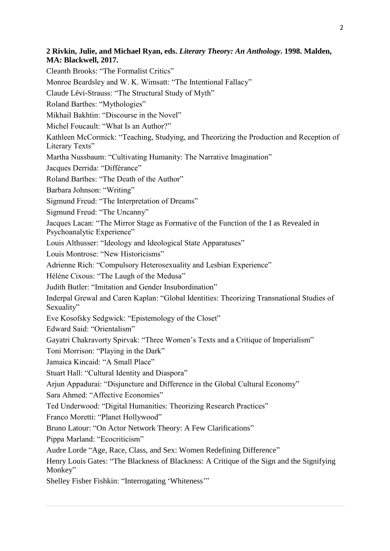### **2 Rivkin, Julie, and Michael Ryan, eds.** *Literary Theory: An Anthology***. 1998. Malden, MA: Blackwell, 2017.**

Cleanth Brooks: "The Formalist Critics" Monroe Beardsley and W. K. Wimsatt: "The Intentional Fallacy" Claude Lévi-Strauss: "The Structural Study of Myth" Roland Barthes: "Mythologies" Mikhail Bakhtin: "Discourse in the Novel" Michel Foucault: "What Is an Author?" Kathleen McCormick: "Teaching, Studying, and Theorizing the Production and Reception of Literary Texts" Martha Nussbaum: "Cultivating Humanity: The Narrative Imagination" Jacques Derrida: "Différance" Roland Barthes: "The Death of the Author" Barbara Johnson: "Writing" Sigmund Freud: "The Interpretation of Dreams" Sigmund Freud: "The Uncanny" Jacques Lacan: "The Mirror Stage as Formative of the Function of the I as Revealed in Psychoanalytic Experience" Louis Althusser: "Ideology and Ideological State Apparatuses" Louis Montrose: "New Historicisms" Adrienne Rich: "Compulsory Heterosexuality and Lesbian Experience" Hélène Cixous: "The Laugh of the Medusa" Judith Butler: "Imitation and Gender Insubordination" Inderpal Grewal and Caren Kaplan: "Global Identities: Theorizing Transnational Studies of Sexuality" Eve Kosofsky Sedgwick: "Epistemology of the Closet" Edward Said: "Orientalism" Gayatri Chakravorty Spirvak: "Three Women's Texts and a Critique of Imperialism" Toni Morrison: "Playing in the Dark" Jamaica Kincaid: "A Small Place" Stuart Hall: "Cultural Identity and Diaspora" Arjun Appadurai: "Disjuncture and Difference in the Global Cultural Economy" Sara Ahmed: "Affective Economies" Ted Underwood: "Digital Humanities: Theorizing Research Practices" Franco Moretti: "Planet Hollywood" Bruno Latour: "On Actor Network Theory: A Few Clarifications" Pippa Marland: "Ecocriticism" Audre Lorde "Age, Race, Class, and Sex: Women Redefining Difference" Henry Louis Gates: "The Blackness of Blackness: A Critique of the Sign and the Signifying Monkey"

Shelley Fisher Fishkin: "Interrogating 'Whiteness'"